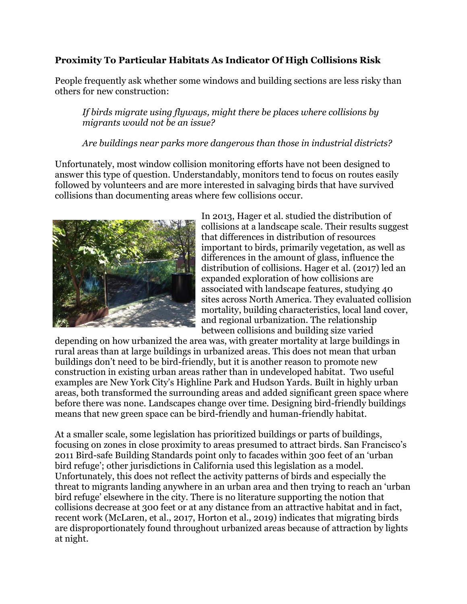## **Proximity To Particular Habitats As Indicator Of High Collisions Risk**

People frequently ask whether some windows and building sections are less risky than others for new construction:

*If birds migrate using flyways, might there be places where collisions by migrants would not be an issue?* 

## *Are buildings near parks more dangerous than those in industrial districts?*

Unfortunately, most window collision monitoring efforts have not been designed to answer this type of question. Understandably, monitors tend to focus on routes easily followed by volunteers and are more interested in salvaging birds that have survived collisions than documenting areas where few collisions occur.



In 2013, Hager et al. studied the distribution of collisions at a landscape scale. Their results suggest that differences in distribution of resources important to birds, primarily vegetation, as well as differences in the amount of glass, influence the distribution of collisions. Hager et al. (2017) led an expanded exploration of how collisions are associated with landscape features, studying 40 sites across North America. They evaluated collision mortality, building characteristics, local land cover, and regional urbanization. The relationship between collisions and building size varied

depending on how urbanized the area was, with greater mortality at large buildings in rural areas than at large buildings in urbanized areas. This does not mean that urban buildings don't need to be bird-friendly, but it is another reason to promote new construction in existing urban areas rather than in undeveloped habitat. Two useful examples are New York City's Highline Park and Hudson Yards. Built in highly urban areas, both transformed the surrounding areas and added significant green space where before there was none. Landscapes change over time. Designing bird-friendly buildings means that new green space can be bird-friendly and human-friendly habitat.

At a smaller scale, some legislation has prioritized buildings or parts of buildings, focusing on zones in close proximity to areas presumed to attract birds. San Francisco's 2011 Bird-safe Building Standards point only to facades within 300 feet of an 'urban bird refuge'; other jurisdictions in California used this legislation as a model. Unfortunately, this does not reflect the activity patterns of birds and especially the threat to migrants landing anywhere in an urban area and then trying to reach an 'urban bird refuge' elsewhere in the city. There is no literature supporting the notion that collisions decrease at 300 feet or at any distance from an attractive habitat and in fact, recent work (McLaren, et al., 2017, Horton et al., 2019) indicates that migrating birds are disproportionately found throughout urbanized areas because of attraction by lights at night.